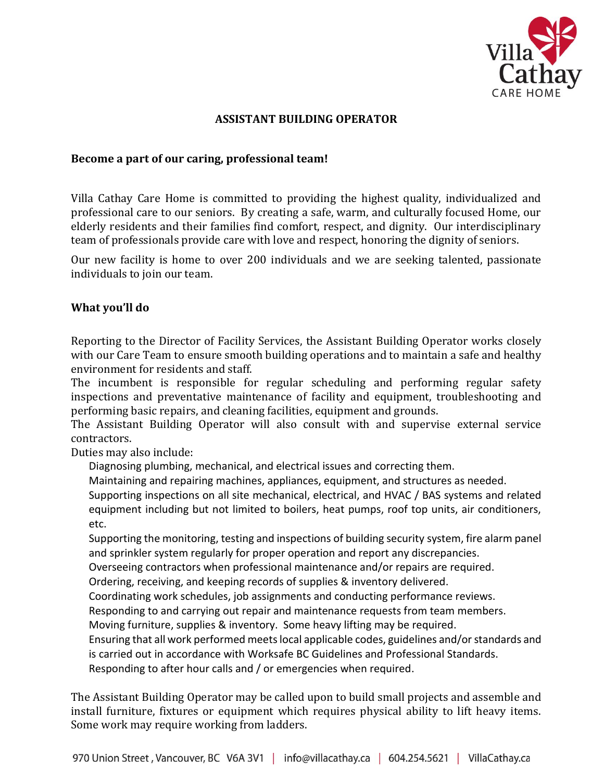

## **ASSISTANT BUILDING OPERATOR**

#### **Become a part of our caring, professional team!**

Villa Cathay Care Home is committed to providing the highest quality, individualized and professional care to our seniors. By creating a safe, warm, and culturally focused Home, our elderly residents and their families find comfort, respect, and dignity. Our interdisciplinary team of professionals provide care with love and respect, honoring the dignity of seniors.

Our new facility is home to over 200 individuals and we are seeking talented, passionate individuals to join our team.

#### **What you'll do**

Reporting to the Director of Facility Services, the Assistant Building Operator works closely with our Care Team to ensure smooth building operations and to maintain a safe and healthy environment for residents and staff.

The incumbent is responsible for regular scheduling and performing regular safety inspections and preventative maintenance of facility and equipment, troubleshooting and performing basic repairs, and cleaning facilities, equipment and grounds.

The Assistant Building Operator will also consult with and supervise external service contractors.

Duties may also include:

Diagnosing plumbing, mechanical, and electrical issues and correcting them.

Maintaining and repairing machines, appliances, equipment, and structures as needed.

Supporting inspections on all site mechanical, electrical, and HVAC / BAS systems and related equipment including but not limited to boilers, heat pumps, roof top units, air conditioners, etc.

Supporting the monitoring, testing and inspections of building security system, fire alarm panel and sprinkler system regularly for proper operation and report any discrepancies.

Overseeing contractors when professional maintenance and/or repairs are required.

Ordering, receiving, and keeping records of supplies & inventory delivered.

Coordinating work schedules, job assignments and conducting performance reviews.

Responding to and carrying out repair and maintenance requests from team members.

Moving furniture, supplies & inventory. Some heavy lifting may be required.

Ensuring that all work performed meetslocal applicable codes, guidelines and/or standards and is carried out in accordance with Worksafe BC Guidelines and Professional Standards.

Responding to after hour calls and / or emergencies when required.

The Assistant Building Operator may be called upon to build small projects and assemble and install furniture, fixtures or equipment which requires physical ability to lift heavy items. Some work may require working from ladders.